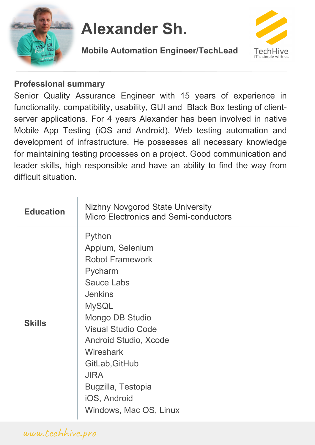

# **Alexander Sh.**





#### **Professional summary**

Senior Quality Assurance Engineer with 15 years of experience in functionality, compatibility, usability, GUI and Black Box testing of clientserver applications. For 4 years Alexander has been involved in native Mobile App Testing (iOS and Android), Web testing automation and development of infrastructure. He possesses all necessary knowledge for maintaining testing processes on a project. Good communication and leader skills, high responsible and have an ability to find the way from difficult situation.

| <b>Education</b> | <b>Nizhny Novgorod State University</b><br><b>Micro Electronics and Semi-conductors</b>                                                                                                                                                                                                                              |
|------------------|----------------------------------------------------------------------------------------------------------------------------------------------------------------------------------------------------------------------------------------------------------------------------------------------------------------------|
| <b>Skills</b>    | Python<br>Appium, Selenium<br><b>Robot Framework</b><br>Pycharm<br><b>Sauce Labs</b><br><b>Jenkins</b><br><b>MySQL</b><br>Mongo DB Studio<br><b>Visual Studio Code</b><br>Android Studio, Xcode<br><b>Wireshark</b><br>GitLab, GitHub<br><b>JIRA</b><br>Bugzilla, Testopia<br>iOS, Android<br>Windows, Mac OS, Linux |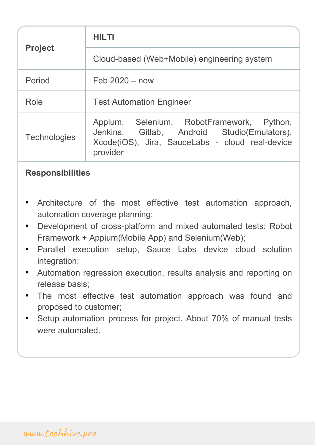| <b>Project</b>      | <b>HILTI</b>                                                                                                                                            |
|---------------------|---------------------------------------------------------------------------------------------------------------------------------------------------------|
|                     | Cloud-based (Web+Mobile) engineering system                                                                                                             |
| Period              | Feb $2020 - now$                                                                                                                                        |
| Role                | <b>Test Automation Engineer</b>                                                                                                                         |
| <b>Technologies</b> | Appium, Selenium, RobotFramework, Python,<br>Jenkins, Gitlab, Android Studio(Emulators),<br>Xcode(iOS), Jira, SauceLabs - cloud real-device<br>provider |

- Architecture of the most effective test automation approach, automation coverage planning;
- Development of cross-platform and mixed automated tests: Robot Framework + Appium(Mobile App) and Selenium(Web);
- Parallel execution setup, Sauce Labs device cloud solution integration;
- Automation regression execution, results analysis and reporting on release basis;
- The most effective test automation approach was found and proposed to customer;
- Setup automation process for project. About 70% of manual tests were automated.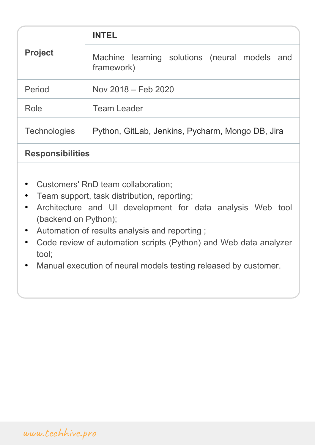| <b>Project</b>          | <b>INTEL</b>                                                |
|-------------------------|-------------------------------------------------------------|
|                         | Machine learning solutions (neural models and<br>framework) |
| Period                  | Nov 2018 – Feb 2020                                         |
| Role                    | <b>Team Leader</b>                                          |
| <b>Technologies</b>     | Python, GitLab, Jenkins, Pycharm, Mongo DB, Jira            |
| <b>Responsibilities</b> |                                                             |

- Customers' RnD team collaboration;
- Team support, task distribution, reporting;
- Architecture and UI development for data analysis Web tool (backend on Python);
- Automation of results analysis and reporting ;
- Code review of automation scripts (Python) and Web data analyzer tool;
- Manual execution of neural models testing released by customer.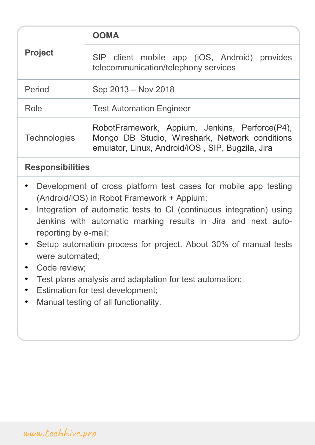| <b>Project</b>      | OOMA                                                                                                                                                 |
|---------------------|------------------------------------------------------------------------------------------------------------------------------------------------------|
|                     | SIP client mobile app (iOS, Android) provides<br>telecommunication/telephony services                                                                |
| Period              | Sep 2013 – Nov 2018                                                                                                                                  |
| Role                | <b>Test Automation Engineer</b>                                                                                                                      |
| <b>Technologies</b> | RobotFramework, Appium, Jenkins, Perforce(P4),<br>Mongo DB Studio, Wireshark, Network conditions<br>emulator, Linux, Android/iOS, SIP, Bugzila, Jira |

- Development of cross platform test cases for mobile app testing (Android/iOS) in Robot Framework + Appium;
- Integration of automatic tests to CI (continuous integration) using Jenkins with automatic marking results in Jira and next autoreporting by е-mail;
- Setup automation process for project. About 30% of manual tests were automated;
- Code review:
- Test plans analysis and adaptation for test automation;
- Estimation for test development;
- Manual testing of all functionality.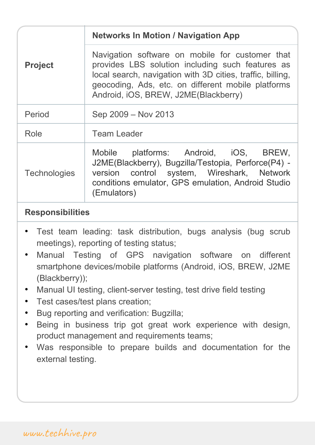| <b>Project</b>      | <b>Networks In Motion / Navigation App</b>                                                                                                                                                                                                                      |
|---------------------|-----------------------------------------------------------------------------------------------------------------------------------------------------------------------------------------------------------------------------------------------------------------|
|                     | Navigation software on mobile for customer that<br>provides LBS solution including such features as<br>local search, navigation with 3D cities, traffic, billing,<br>geocoding, Ads, etc. on different mobile platforms<br>Android, iOS, BREW, J2ME(Blackberry) |
| Period              | Sep 2009 - Nov 2013                                                                                                                                                                                                                                             |
| Role                | <b>Team Leader</b>                                                                                                                                                                                                                                              |
| <b>Technologies</b> | Mobile platforms: Android, iOS, BREW,<br>J2ME(Blackberry), Bugzilla/Testopia, Perforce(P4) -<br>version control system, Wireshark, Network<br>conditions emulator, GPS emulation, Android Studio<br>(Emulators)                                                 |

- Test team leading: task distribution, bugs analysis (bug scrub meetings), reporting of testing status;
- Manual Testing of GPS navigation software on different smartphone devices/mobile platforms (Android, iOS, BREW, J2ME (Blackberry));
- Manual UI testing, client-server testing, test drive field testing
- Test cases/test plans creation;
- Bug reporting and verification: Bugzilla;
- Being in business trip got great work experience with design, product management and requirements teams;
- Was responsible to prepare builds and documentation for the external testing.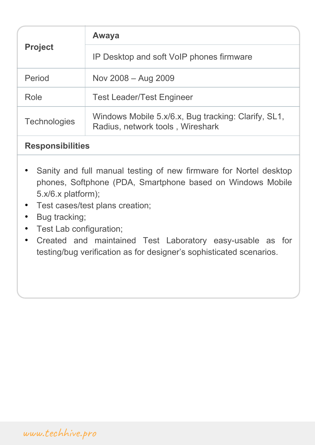| <b>Project</b>      | Awaya                                                                                   |
|---------------------|-----------------------------------------------------------------------------------------|
|                     | IP Desktop and soft VoIP phones firmware                                                |
| Period              | Nov 2008 - Aug 2009                                                                     |
| Role                | <b>Test Leader/Test Engineer</b>                                                        |
| <b>Technologies</b> | Windows Mobile 5.x/6.x, Bug tracking: Clarify, SL1,<br>Radius, network tools, Wireshark |

- Sanity and full manual testing of new firmware for Nortel desktop phones, Softphone (PDA, Smartphone based on Windows Mobile 5.x/6.x platform);
- Test cases/test plans creation;
- Bug tracking;
- Test Lab configuration;
- Created and maintained Test Laboratory easy-usable as for testing/bug verification as for designer's sophisticated scenarios.